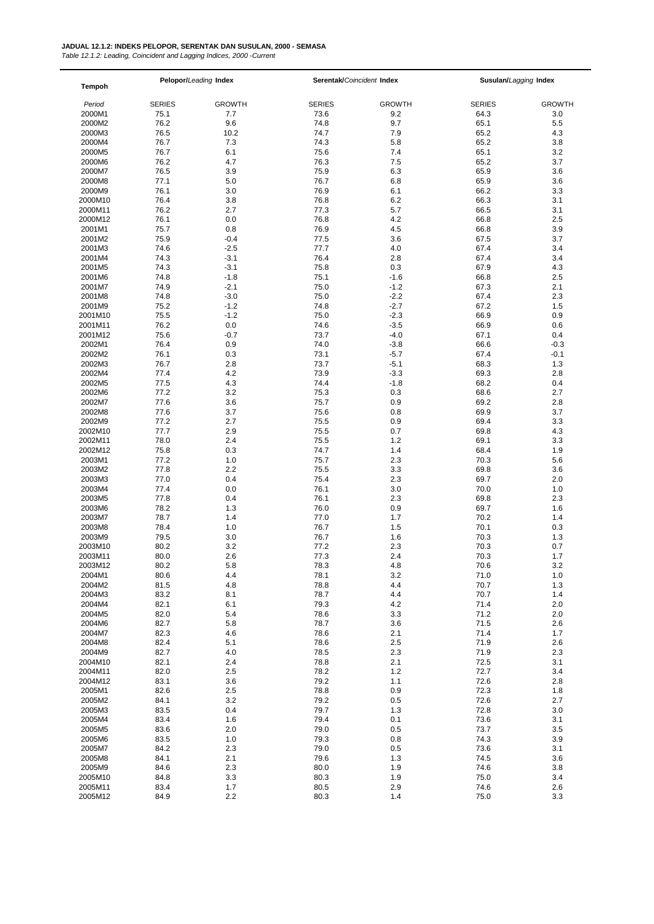*Table 12.1.2: Leading, Coincident and Lagging Indices, 2000 -Current*

| <b>Tempoh</b>     | Pelopor/Leading Index |                  | Serentak/Coincident Index |               | Susulan/Lagging Index |                |
|-------------------|-----------------------|------------------|---------------------------|---------------|-----------------------|----------------|
| Period            | <b>SERIES</b>         | <b>GROWTH</b>    | <b>SERIES</b>             | <b>GROWTH</b> | <b>SERIES</b>         | <b>GROWTH</b>  |
| 2000M1            | 75.1                  | 7.7              | 73.6                      | 9.2           | 64.3                  | 3.0            |
| 2000M2            | 76.2                  | 9.6              | 74.8                      | 9.7           | 65.1                  | 5.5            |
| 2000M3            | 76.5                  | 10.2             | 74.7                      | 7.9           | 65.2                  | 4.3            |
| 2000M4            | 76.7                  | 7.3              | 74.3                      | 5.8           | 65.2                  | 3.8            |
| 2000M5            | 76.7                  | 6.1              | 75.6                      | 7.4           | 65.1                  | 3.2            |
| 2000M6            | 76.2                  | 4.7              | 76.3                      | 7.5           | 65.2                  | 3.7            |
| 2000M7            | 76.5                  | 3.9              | 75.9                      | 6.3           | 65.9                  | 3.6            |
| 2000M8            | 77.1                  | 5.0              | 76.7                      | 6.8           | 65.9                  | 3.6            |
| 2000M9            | 76.1                  | 3.0              | 76.9                      | 6.1           | 66.2                  | 3.3            |
| 2000M10           | 76.4                  | 3.8              | 76.8                      | 6.2           | 66.3                  | 3.1            |
| 2000M11           | 76.2                  | 2.7              | 77.3                      | 5.7           | 66.5                  | 3.1            |
| 2000M12           | 76.1                  | 0.0              | 76.8                      | 4.2           | 66.8                  | 2.5            |
| 2001M1            | 75.7                  | 0.8              | 76.9                      | 4.5           | 66.8                  | 3.9            |
| 2001M2<br>2001M3  | 75.9<br>74.6          | $-0.4$<br>$-2.5$ | 77.5<br>77.7              | 3.6<br>4.0    | 67.5<br>67.4          | 3.7<br>3.4     |
| 2001M4            | 74.3                  | $-3.1$           | 76.4                      | 2.8           | 67.4                  | 3.4            |
| 2001M5            | 74.3                  | $-3.1$           | 75.8                      | 0.3           | 67.9                  | 4.3            |
| 2001M6            | 74.8                  | $-1.8$           | 75.1                      | $-1.6$        | 66.8                  | 2.5            |
| 2001M7            | 74.9                  | $-2.1$           | 75.0                      | $-1.2$        | 67.3                  | 2.1            |
| 2001M8            | 74.8                  | $-3.0$           | 75.0                      | $-2.2$        | 67.4                  | 2.3            |
| 2001M9            | 75.2                  | $-1.2$           | 74.8                      | $-2.7$        | 67.2                  | 1.5            |
| 2001M10           | 75.5                  | $-1.2$           | 75.0                      | $-2.3$        | 66.9                  | 0.9            |
| 2001M11           | 76.2                  | 0.0              | 74.6                      | $-3.5$        | 66.9                  | 0.6            |
| 2001M12           | 75.6                  | $-0.7$           | 73.7                      | $-4.0$        | 67.1                  | 0.4            |
| 2002M1            | 76.4                  | 0.9              | 74.0                      | $-3.8$        | 66.6                  | $-0.3$         |
| 2002M2            | 76.1                  | 0.3              | 73.1                      | $-5.7$        | 67.4                  | $-0.1$         |
| 2002M3            | 76.7                  | 2.8              | 73.7                      | $-5.1$        | 68.3                  | 1.3            |
| 2002M4            | 77.4                  | 4.2              | 73.9                      | $-3.3$        | 69.3                  | 2.8            |
| 2002M5            | 77.5                  | 4.3              | 74.4                      | $-1.8$        | 68.2                  | 0.4            |
| 2002M6            | 77.2                  | 3.2              | 75.3                      | 0.3           | 68.6                  | 2.7            |
| 2002M7            | 77.6                  | 3.6              | 75.7                      | 0.9           | 69.2                  | 2.8            |
| 2002M8            | 77.6<br>77.2          | 3.7<br>2.7       | 75.6<br>75.5              | 0.8<br>0.9    | 69.9<br>69.4          | 3.7<br>3.3     |
| 2002M9<br>2002M10 | 77.7                  | 2.9              | 75.5                      | 0.7           | 69.8                  | 4.3            |
| 2002M11           | 78.0                  | 2.4              | 75.5                      | 1.2           | 69.1                  | 3.3            |
| 2002M12           | 75.8                  | 0.3              | 74.7                      | 1.4           | 68.4                  | 1.9            |
| 2003M1            | 77.2                  | 1.0              | 75.7                      | 2.3           | 70.3                  | 5.6            |
| 2003M2            | 77.8                  | 2.2              | 75.5                      | 3.3           | 69.8                  | 3.6            |
| 2003M3            | 77.0                  | 0.4              | 75.4                      | 2.3           | 69.7                  | 2.0            |
| 2003M4            | 77.4                  | 0.0              | 76.1                      | 3.0           | 70.0                  | 1.0            |
| 2003M5            | 77.8                  | 0.4              | 76.1                      | 2.3           | 69.8                  | 2.3            |
| 2003M6            | 78.2                  | 1.3              | 76.0                      | 0.9           | 69.7                  | 1.6            |
| 2003M7            | 78.7                  | 1.4              | 77.0                      | 1.7           | 70.2                  | 1.4            |
| 2003M8            | 78.4                  | 1.0              | 76.7                      | 1.5           | 70.1                  | 0.3            |
| 2003M9            | 79.5                  | 3.0              | 76.7                      | 1.6           | 70.3                  | 1.3            |
| 2003M10           | 80.2<br>80.0          | 3.2<br>2.6       | 77.2<br>77.3              | 2.3<br>2.4    | 70.3                  | 0.7<br>1.7     |
| 2003M11           | 80.2                  | 5.8              | 78.3                      | 4.8           | 70.3<br>70.6          | 3.2            |
| 2003M12<br>2004M1 | 80.6                  | 4.4              | 78.1                      | 3.2           | 71.0                  | 1.0            |
| 2004M2            | 81.5                  | 4.8              | 78.8                      | 4.4           | 70.7                  | 1.3            |
| 2004M3            | 83.2                  | 8.1              | 78.7                      | 4.4           | 70.7                  | 1.4            |
| 2004M4            | 82.1                  | 6.1              | 79.3                      | 4.2           | 71.4                  | 2.0            |
| 2004M5            | 82.0                  | 5.4              | 78.6                      | 3.3           | 71.2                  | 2.0            |
| 2004M6            | 82.7                  | 5.8              | 78.7                      | 3.6           | 71.5                  | 2.6            |
| 2004M7            | 82.3                  | 4.6              | 78.6                      | 2.1           | 71.4                  | 1.7            |
| 2004M8            | 82.4                  | 5.1              | 78.6                      | 2.5           | 71.9                  | 2.6            |
| 2004M9            | 82.7                  | 4.0              | 78.5                      | 2.3           | 71.9                  | 2.3            |
| 2004M10           | 82.1                  | 2.4              | 78.8                      | 2.1           | 72.5                  | 3.1            |
| 2004M11           | 82.0                  | 2.5              | 78.2                      | 1.2           | 72.7                  | 3.4            |
| 2004M12           | 83.1                  | 3.6              | 79.2                      | 1.1           | 72.6                  | 2.8            |
| 2005M1            | 82.6                  | 2.5              | 78.8                      | 0.9           | 72.3                  | 1.8            |
| 2005M2<br>2005M3  | 84.1<br>83.5          | 3.2<br>0.4       | 79.2<br>79.7              | 0.5<br>1.3    | 72.6<br>72.8          | 2.7<br>$3.0\,$ |
| 2005M4            | 83.4                  | 1.6              | 79.4                      | 0.1           | 73.6                  | 3.1            |
| 2005M5            | 83.6                  | 2.0              | 79.0                      | 0.5           | 73.7                  | 3.5            |
| 2005M6            | 83.5                  | 1.0              | 79.3                      | 0.8           | 74.3                  | 3.9            |
| 2005M7            | 84.2                  | 2.3              | 79.0                      | 0.5           | 73.6                  | 3.1            |
| 2005M8            | 84.1                  | 2.1              | 79.6                      | 1.3           | 74.5                  | 3.6            |
| 2005M9            | 84.6                  | 2.3              | 80.0                      | 1.9           | 74.6                  | 3.8            |
| 2005M10           | 84.8                  | 3.3              | 80.3                      | 1.9           | 75.0                  | 3.4            |
| 2005M11           | 83.4                  | 1.7              | 80.5                      | 2.9           | 74.6                  | 2.6            |
| 2005M12           | 84.9                  | 2.2              | 80.3                      | 1.4           | 75.0                  | 3.3            |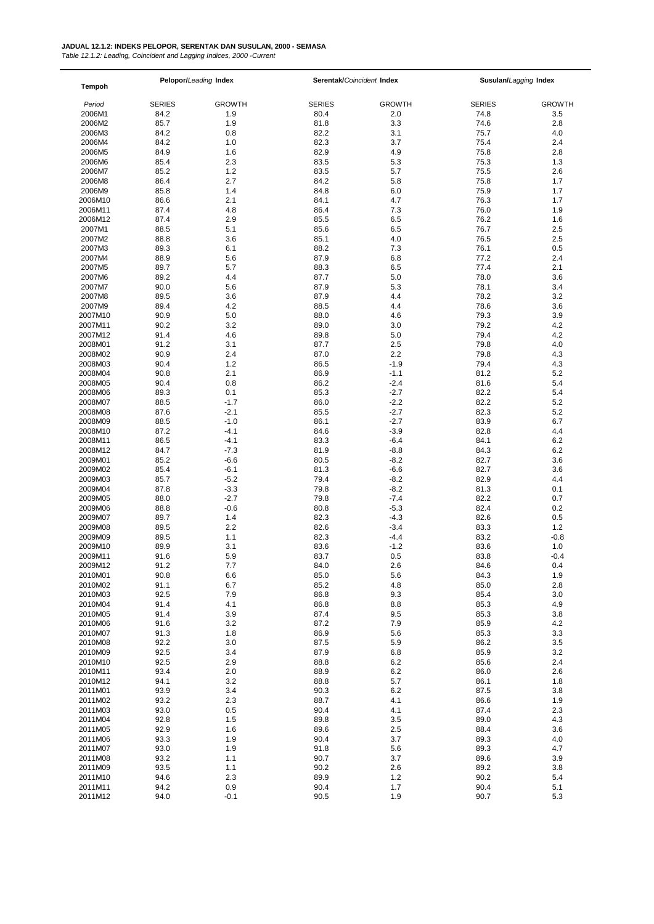*Table 12.1.2: Leading, Coincident and Lagging Indices, 2000 -Current*

| Tempoh             | Pelopor/Leading Index |                  | Serentak/Coincident Index |                  | Susulan/Lagging Index |                |
|--------------------|-----------------------|------------------|---------------------------|------------------|-----------------------|----------------|
| Period             | <b>SERIES</b>         | <b>GROWTH</b>    | <b>SERIES</b>             | <b>GROWTH</b>    | <b>SERIES</b>         | <b>GROWTH</b>  |
| 2006M1             | 84.2                  | 1.9              | 80.4                      | 2.0              | 74.8                  | 3.5            |
| 2006M2             | 85.7                  | 1.9              | 81.8                      | 3.3              | 74.6                  | 2.8            |
| 2006M3             | 84.2                  | 0.8              | 82.2                      | 3.1              | 75.7                  | 4.0            |
| 2006M4             | 84.2                  | 1.0              | 82.3                      | 3.7              | 75.4                  | 2.4            |
| 2006M5             | 84.9                  | 1.6              | 82.9                      | 4.9              | 75.8                  | 2.8            |
| 2006M6             | 85.4                  | 2.3              | 83.5                      | 5.3              | 75.3                  | 1.3            |
| 2006M7             | 85.2                  | 1.2              | 83.5                      | 5.7              | 75.5                  | 2.6            |
| 2006M8             | 86.4                  | 2.7              | 84.2                      | 5.8              | 75.8                  | 1.7            |
| 2006M9             | 85.8                  | 1.4              | 84.8                      | 6.0              | 75.9                  | 1.7            |
| 2006M10            | 86.6                  | 2.1              | 84.1                      | 4.7              | 76.3                  | 1.7            |
| 2006M11            | 87.4                  | 4.8              | 86.4                      | 7.3              | 76.0                  | 1.9            |
| 2006M12            | 87.4                  | 2.9              | 85.5                      | 6.5              | 76.2                  | 1.6            |
| 2007M1             | 88.5                  | 5.1              | 85.6                      | 6.5              | 76.7                  | 2.5            |
| 2007M2             | 88.8                  | 3.6              | 85.1                      | 4.0<br>7.3       | 76.5                  | 2.5            |
| 2007M3<br>2007M4   | 89.3<br>88.9          | 6.1<br>5.6       | 88.2<br>87.9              | 6.8              | 76.1<br>77.2          | 0.5<br>2.4     |
| 2007M5             | 89.7                  | 5.7              | 88.3                      | 6.5              | 77.4                  | 2.1            |
| 2007M6             | 89.2                  | 4.4              | 87.7                      | 5.0              | 78.0                  | 3.6            |
| 2007M7             | 90.0                  | 5.6              | 87.9                      | 5.3              | 78.1                  | 3.4            |
| 2007M8             | 89.5                  | 3.6              | 87.9                      | 4.4              | 78.2                  | 3.2            |
| 2007M9             | 89.4                  | 4.2              | 88.5                      | 4.4              | 78.6                  | 3.6            |
| 2007M10            | 90.9                  | 5.0              | 88.0                      | 4.6              | 79.3                  | 3.9            |
| 2007M11            | 90.2                  | 3.2              | 89.0                      | 3.0              | 79.2                  | 4.2            |
| 2007M12            | 91.4                  | 4.6              | 89.8                      | 5.0              | 79.4                  | 4.2            |
| 2008M01            | 91.2                  | 3.1              | 87.7                      | 2.5              | 79.8                  | 4.0            |
| 2008M02            | 90.9                  | 2.4              | 87.0                      | 2.2              | 79.8                  | 4.3            |
| 2008M03            | 90.4                  | 1.2              | 86.5                      | $-1.9$           | 79.4                  | 4.3            |
| 2008M04            | 90.8                  | 2.1              | 86.9                      | $-1.1$           | 81.2                  | 5.2            |
| 2008M05            | 90.4                  | 0.8              | 86.2                      | $-2.4$           | 81.6                  | 5.4            |
| 2008M06            | 89.3                  | 0.1              | 85.3                      | $-2.7$           | 82.2                  | 5.4            |
| 2008M07            | 88.5                  | $-1.7$           | 86.0                      | $-2.2$           | 82.2                  | 5.2            |
| 2008M08            | 87.6                  | $-2.1$           | 85.5                      | $-2.7$           | 82.3                  | 5.2            |
| 2008M09            | 88.5                  | $-1.0$           | 86.1                      | $-2.7$           | 83.9                  | 6.7            |
| 2008M10            | 87.2                  | $-4.1$           | 84.6                      | $-3.9$           | 82.8                  | 4.4            |
| 2008M11            | 86.5                  | $-4.1$           | 83.3                      | $-6.4$           | 84.1                  | 6.2            |
| 2008M12<br>2009M01 | 84.7<br>85.2          | $-7.3$<br>$-6.6$ | 81.9<br>80.5              | $-8.8$<br>$-8.2$ | 84.3<br>82.7          | 6.2<br>3.6     |
| 2009M02            | 85.4                  | $-6.1$           | 81.3                      | $-6.6$           | 82.7                  | 3.6            |
| 2009M03            | 85.7                  | $-5.2$           | 79.4                      | $-8.2$           | 82.9                  | 4.4            |
| 2009M04            | 87.8                  | $-3.3$           | 79.8                      | $-8.2$           | 81.3                  | 0.1            |
| 2009M05            | 88.0                  | $-2.7$           | 79.8                      | $-7.4$           | 82.2                  | 0.7            |
| 2009M06            | 88.8                  | $-0.6$           | 80.8                      | $-5.3$           | 82.4                  | 0.2            |
| 2009M07            | 89.7                  | 1.4              | 82.3                      | $-4.3$           | 82.6                  | 0.5            |
| 2009M08            | 89.5                  | 2.2              | 82.6                      | $-3.4$           | 83.3                  | 1.2            |
| 2009M09            | 89.5                  | 1.1              | 82.3                      | $-4.4$           | 83.2                  | $-0.8$         |
| 2009M10            | 89.9                  | 3.1              | 83.6                      | $-1.2$           | 83.6                  | 1.0            |
| 2009M11            | 91.6                  | 5.9              | 83.7                      | 0.5              | 83.8                  | $-0.4$         |
| 2009M12            | 91.2                  | 7.7              | 84.0                      | 2.6              | 84.6                  | 0.4            |
| 2010M01            | 90.8                  | 6.6              | 85.0                      | 5.6              | 84.3                  | 1.9            |
| 2010M02            | 91.1                  | 6.7              | 85.2                      | 4.8              | 85.0                  | 2.8            |
| 2010M03            | 92.5                  | 7.9              | 86.8                      | 9.3              | 85.4                  | 3.0            |
| 2010M04            | 91.4                  | 4.1              | 86.8                      | 8.8              | 85.3                  | 4.9            |
| 2010M05            | 91.4                  | 3.9              | 87.4                      | 9.5              | 85.3                  | 3.8            |
| 2010M06            | 91.6                  | 3.2              | 87.2                      | 7.9              | 85.9                  | 4.2            |
| 2010M07<br>2010M08 | 91.3<br>92.2          | 1.8<br>3.0       | 86.9<br>87.5              | 5.6<br>5.9       | 85.3<br>86.2          | 3.3<br>$3.5\,$ |
| 2010M09            | 92.5                  | 3.4              | 87.9                      | 6.8              | 85.9                  | 3.2            |
| 2010M10            | 92.5                  | 2.9              | 88.8                      | 6.2              | 85.6                  | 2.4            |
| 2010M11            | 93.4                  | 2.0              | 88.9                      | 6.2              | 86.0                  | 2.6            |
| 2010M12            | 94.1                  | 3.2              | 88.8                      | 5.7              | 86.1                  | 1.8            |
| 2011M01            | 93.9                  | 3.4              | 90.3                      | 6.2              | 87.5                  | 3.8            |
| 2011M02            | 93.2                  | 2.3              | 88.7                      | 4.1              | 86.6                  | 1.9            |
| 2011M03            | 93.0                  | 0.5              | 90.4                      | 4.1              | 87.4                  | 2.3            |
| 2011M04            | 92.8                  | 1.5              | 89.8                      | 3.5              | 89.0                  | 4.3            |
| 2011M05            | 92.9                  | 1.6              | 89.6                      | 2.5              | 88.4                  | 3.6            |
| 2011M06            | 93.3                  | 1.9              | 90.4                      | 3.7              | 89.3                  | 4.0            |
| 2011M07            | 93.0                  | 1.9              | 91.8                      | 5.6              | 89.3                  | 4.7            |
| 2011M08            | 93.2                  | 1.1              | 90.7                      | 3.7              | 89.6                  | 3.9            |
| 2011M09            | 93.5                  | 1.1              | 90.2                      | 2.6              | 89.2                  | 3.8            |
| 2011M10            | 94.6                  | 2.3              | 89.9                      | 1.2              | 90.2                  | 5.4            |
| 2011M11            | 94.2                  | 0.9              | 90.4                      | 1.7              | 90.4                  | 5.1            |
| 2011M12            | 94.0                  | $-0.1$           | 90.5                      | 1.9              | 90.7                  | 5.3            |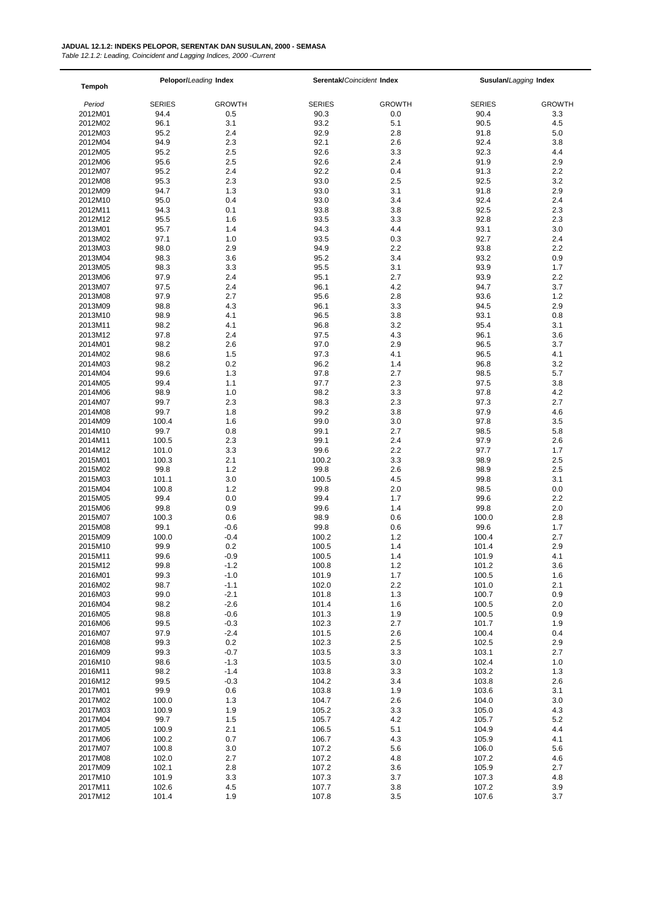*Table 12.1.2: Leading, Coincident and Lagging Indices, 2000 -Current*

| <b>Tempoh</b> | Pelopor/Leading Index |               | Serentak/Coincident Index |               | Susulan/Lagging Index |               |
|---------------|-----------------------|---------------|---------------------------|---------------|-----------------------|---------------|
|               |                       |               |                           |               |                       |               |
| Period        | <b>SERIES</b>         | <b>GROWTH</b> | <b>SERIES</b>             | <b>GROWTH</b> | <b>SERIES</b>         | <b>GROWTH</b> |
| 2012M01       | 94.4                  | 0.5           | 90.3                      | 0.0           | 90.4                  | 3.3           |
| 2012M02       | 96.1                  | 3.1           | 93.2                      | 5.1           | 90.5                  | 4.5           |
| 2012M03       | 95.2                  | 2.4           | 92.9                      | 2.8           | 91.8                  | 5.0           |
| 2012M04       | 94.9                  | 2.3           | 92.1                      | 2.6           | 92.4                  | 3.8           |
| 2012M05       | 95.2                  | 2.5           | 92.6                      | 3.3           | 92.3                  | 4.4           |
| 2012M06       | 95.6                  | 2.5           | 92.6                      | 2.4           | 91.9                  | 2.9           |
| 2012M07       | 95.2                  | 2.4           | 92.2                      | 0.4           | 91.3                  | 2.2           |
| 2012M08       | 95.3                  | 2.3           | 93.0                      | 2.5           | 92.5                  | 3.2           |
| 2012M09       | 94.7                  | 1.3           | 93.0                      | 3.1           | 91.8                  | 2.9           |
| 2012M10       | 95.0                  | 0.4           | 93.0                      | 3.4           | 92.4                  | 2.4           |
| 2012M11       | 94.3                  | 0.1           | 93.8                      | 3.8           | 92.5                  | 2.3           |
| 2012M12       | 95.5                  | 1.6           | 93.5                      | 3.3           | 92.8                  | 2.3           |
| 2013M01       | 95.7                  | 1.4           | 94.3                      | 4.4           | 93.1                  | 3.0           |
| 2013M02       | 97.1                  | 1.0           | 93.5                      | 0.3           | 92.7                  | 2.4           |
| 2013M03       | 98.0                  | 2.9           | 94.9                      | 2.2           | 93.8                  | 2.2           |
| 2013M04       | 98.3                  | 3.6           | 95.2                      | 3.4           | 93.2                  | 0.9           |
| 2013M05       | 98.3                  | 3.3           | 95.5                      | 3.1           | 93.9                  | 1.7           |
| 2013M06       | 97.9                  | 2.4           | 95.1                      | 2.7           | 93.9                  | 2.2           |
| 2013M07       | 97.5                  | 2.4           | 96.1                      | 4.2           | 94.7                  | 3.7           |
| 2013M08       | 97.9                  | 2.7           | 95.6                      | 2.8           | 93.6                  | 1.2           |
| 2013M09       | 98.8                  | 4.3           | 96.1                      | 3.3           | 94.5                  | 2.9           |
| 2013M10       | 98.9                  | 4.1           | 96.5                      | 3.8           | 93.1                  | 0.8           |
| 2013M11       | 98.2                  | 4.1           | 96.8                      | 3.2           | 95.4                  | 3.1           |
| 2013M12       | 97.8                  | 2.4           | 97.5                      | 4.3           | 96.1                  | 3.6           |
| 2014M01       | 98.2                  | 2.6           | 97.0                      | 2.9           | 96.5                  | 3.7           |
| 2014M02       | 98.6                  | 1.5           | 97.3                      | 4.1           | 96.5                  | 4.1           |
| 2014M03       | 98.2                  | 0.2           | 96.2                      | 1.4           | 96.8                  | 3.2           |
| 2014M04       | 99.6                  | 1.3           | 97.8                      | 2.7           | 98.5                  | 5.7           |
| 2014M05       | 99.4                  | 1.1           | 97.7                      | 2.3           | 97.5                  | 3.8           |
| 2014M06       | 98.9                  | 1.0           | 98.2                      | 3.3           | 97.8                  | 4.2           |
| 2014M07       | 99.7                  | 2.3           | 98.3                      | 2.3           | 97.3                  | 2.7           |
| 2014M08       | 99.7                  | 1.8           | 99.2                      | 3.8           | 97.9                  | 4.6           |
| 2014M09       | 100.4                 | 1.6           | 99.0                      | 3.0           | 97.8                  | 3.5           |
| 2014M10       | 99.7                  | 0.8           | 99.1                      | 2.7           | 98.5                  | 5.8           |
| 2014M11       | 100.5                 | 2.3           | 99.1                      | 2.4           | 97.9                  | 2.6           |
| 2014M12       | 101.0                 | 3.3           | 99.6                      | 2.2           | 97.7                  | 1.7           |
| 2015M01       | 100.3                 | 2.1           | 100.2                     | 3.3           | 98.9                  | 2.5           |
| 2015M02       | 99.8                  | 1.2           | 99.8                      | 2.6           | 98.9                  | 2.5           |
| 2015M03       | 101.1                 | 3.0           | 100.5                     | 4.5           | 99.8                  | 3.1           |
| 2015M04       | 100.8                 | 1.2           | 99.8                      | 2.0           | 98.5                  | 0.0           |
| 2015M05       | 99.4                  | 0.0           | 99.4                      | 1.7           | 99.6                  | 2.2           |
| 2015M06       | 99.8                  | 0.9           | 99.6                      | 1.4           | 99.8                  | 2.0           |
| 2015M07       | 100.3                 | 0.6           | 98.9                      | 0.6           | 100.0                 | 2.8           |
| 2015M08       | 99.1                  | $-0.6$        | 99.8                      | 0.6           | 99.6                  | 1.7           |
| 2015M09       | 100.0                 | $-0.4$        | 100.2                     | 1.2           | 100.4                 | 2.7           |
| 2015M10       | 99.9                  | 0.2           | 100.5                     | 1.4           | 101.4                 | 2.9           |
| 2015M11       | 99.6                  | $-0.9$        | 100.5                     | 1.4           | 101.9                 | 4.1           |
| 2015M12       | 99.8                  | $-1.2$        | 100.8                     | $1.2$         | 101.2                 | 3.6           |
| 2016M01       | 99.3                  | $-1.0$        | 101.9                     | 1.7           | 100.5                 | 1.6           |
| 2016M02       | 98.7                  | $-1.1$        | 102.0                     | 2.2           | 101.0                 | 2.1           |
| 2016M03       | 99.0                  | $-2.1$        | 101.8                     | 1.3           | 100.7                 | 0.9           |
| 2016M04       | 98.2                  | $-2.6$        | 101.4                     | 1.6           | 100.5                 | 2.0           |
| 2016M05       | 98.8                  | $-0.6$        | 101.3                     | 1.9           | 100.5                 | 0.9           |
| 2016M06       | 99.5                  | $-0.3$        | 102.3                     | 2.7           | 101.7                 | 1.9           |
| 2016M07       | 97.9                  | $-2.4$        | 101.5                     | 2.6           | 100.4                 | 0.4           |
| 2016M08       | 99.3                  | 0.2           | 102.3                     | 2.5           | 102.5                 | 2.9           |
| 2016M09       | 99.3                  | $-0.7$        | 103.5                     | 3.3           | 103.1                 | 2.7           |
| 2016M10       | 98.6                  | $-1.3$        | 103.5                     | $3.0\,$       | 102.4                 | 1.0           |
| 2016M11       | 98.2                  | $-1.4$        | 103.8                     | 3.3           | 103.2                 | 1.3           |
| 2016M12       | 99.5                  | $-0.3$        | 104.2                     | 3.4           | 103.8                 | 2.6           |
| 2017M01       | 99.9                  | 0.6           | 103.8                     | 1.9           | 103.6                 | 3.1           |
| 2017M02       | 100.0                 | 1.3           | 104.7                     | 2.6           | 104.0                 | 3.0           |
| 2017M03       | 100.9                 | 1.9           | 105.2                     | 3.3           | 105.0                 | 4.3           |
| 2017M04       | 99.7                  | 1.5           | 105.7                     | 4.2           | 105.7                 | $5.2\,$       |
|               |                       |               |                           |               |                       |               |
| 2017M05       | 100.9                 | 2.1           | 106.5                     | 5.1           | 104.9                 | 4.4           |
| 2017M06       | 100.2                 | 0.7           | 106.7                     | 4.3           | 105.9                 | 4.1           |
| 2017M07       | 100.8                 | 3.0           | 107.2                     | 5.6           | 106.0                 | 5.6           |
| 2017M08       | 102.0                 | 2.7           | 107.2                     | 4.8           | 107.2                 | 4.6           |
| 2017M09       | 102.1                 | 2.8           | 107.2                     | 3.6           | 105.9                 | 2.7           |
| 2017M10       | 101.9                 | 3.3           | 107.3                     | 3.7           | 107.3                 | 4.8           |
| 2017M11       | 102.6                 | 4.5           | 107.7                     | $3.8\,$       | 107.2                 | 3.9           |
| 2017M12       | 101.4                 | 1.9           | 107.8                     | 3.5           | 107.6                 | 3.7           |